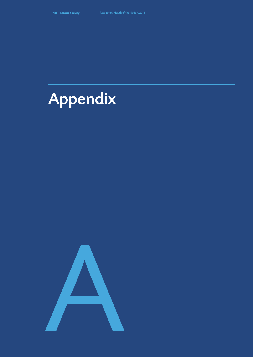

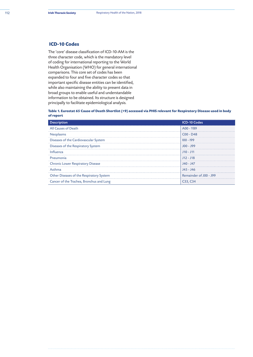# **ICD-10 Codes**

The 'core' disease classification of ICD-10-AM is the three character code, which is the mandatory level of coding for international reporting to the World Health Organisation (WHO) for general international comparisons. This core set of codes has been expanded to four and five character codes so that important specific disease entities can be identified, while also maintaining the ability to present data in broad groups to enable useful and understandable information to be obtained. Its structure is designed principally to facilitate epidemiological analysis.

**Table 1. Eurostat 65 Cause of Death Shortlist (+9) accessed via PHIS relevant for Respiratory Disease used in body of report**

| <b>Description</b>                       | <b>ICD-10 Codes</b>    |
|------------------------------------------|------------------------|
| All Causes of Death                      | A00 - Y89              |
| Neoplasms                                | $C00 - D48$            |
| Diseases of the Cardiovascular System    | $100 - 199$            |
| Diseases of the Respiratory System       | J00 - J99              |
| Influenza                                | $J10 - J11$            |
| Pneumonia                                | $J12 - J18$            |
| <b>Chronic Lower Respiratory Disease</b> | J40 - J47              |
| Asthma                                   | J45 - J46              |
| Other Diseases of the Respiratory System | Remainder of J00 - J99 |
| Cancer of the Trachea, Bronchus and Lung | C33, C34               |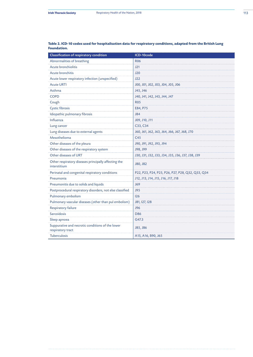| Classification of respiratory condition                               | ICD-10code                                       |
|-----------------------------------------------------------------------|--------------------------------------------------|
| Abnormalities of breathing                                            | <b>R06</b>                                       |
| Acute bronchiolitis                                                   | J21                                              |
| Acute bronchitis                                                      | J20                                              |
| Acute lower respiratory infection (unspecified)                       | J22                                              |
| <b>Acute URTI</b>                                                     | J00, J01, J02, J03, J04, J05, J06                |
| Asthma                                                                | J45, J46                                         |
| <b>COPD</b>                                                           | J40, J41, J42, J43, J44, J47                     |
| Cough                                                                 | <b>R05</b>                                       |
| <b>Cystic fibrosis</b>                                                | E84, P75                                         |
| Idiopathic pulmonary fibrosis                                         | J84                                              |
| Influenza                                                             | J09, J10, J11                                    |
| Lung cancer                                                           | C33, C34                                         |
| Lung diseases due to external agents                                  | J60, J61, J62, J63, J64, J66, J67, J68, J70      |
| Mesothelioma                                                          | C45                                              |
| Other diseases of the pleura                                          | J90, J91, J92, J93, J94                          |
| Other diseases of the respiratory system                              | J98, J99                                         |
| Other diseases of URT                                                 | J30, J31, J32, J33, J34, J35, J36, J37, J38, J39 |
| Other respiratory diseases principally affecting the<br>interstitium  | J80, J82                                         |
| Perinatal and congenital respiratory conditions                       | P22, P23, P24, P25, P26, P27, P28, Q32, Q33, Q34 |
| Pneumonia                                                             | J12, J13, J14, J15, J16, J17, J18                |
| Pneumonitis due to solids and liquids                                 | J69                                              |
| Postprocedural respiratory disorders, not else classified             | J95                                              |
| Pulmonary embolism                                                    | 126                                              |
| Pulmonary vascular diseases (other than pul embolism)                 | J81, 127, 128                                    |
| <b>Respiratory failure</b>                                            | J96                                              |
| Sarcoidosis                                                           | <b>D86</b>                                       |
| Sleep apnoea                                                          | G47.3                                            |
| Suppurative and necrotic conditions of the lower<br>respiratory tract | J85, J86                                         |
| <b>Tuberculosis</b>                                                   | A15, A16, B90, J65                               |

### **Table 2. ICD-10 codes used for hospitalisation data for respiratory conditions, adapted from the British Lung Foundation.**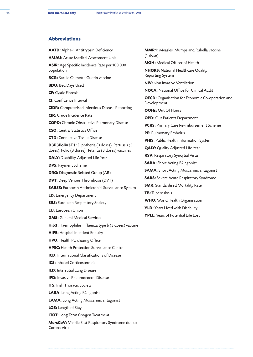# **Abbreviations**

**AATD:** Alpha-1 Antitrypsin Deficiency

**AMAU:** Acute Medical Assessment Unit

**ASIR:** Age Specific Incidence Rate per 100,000 population

**BCG:** Bacille Calmette Guerin vaccine

**BDU:** Bed Days Used

**CF:** Cystic Fibrosis

**CI:** Confidence Interval

**CIDR:** Computerised Infectious Disease Reporting

**CIR:** Crude Incidence Rate

**COPD:** Chronic Obstructive Pulmonary Disease

**CSO:** Central Statistics Office

**CTD:** Connective Tissue Disease

**D3P3Polio3T3:** Diphtheria (3 doses), Pertussis (3 doses), Polio (3 doses), Tetanus (3 doses) vaccines

**DALY:** Disability-Adjusted Life-Year

**DPS:** Payment Scheme

**DRG:** Diagnostic Related Group (AR)

**DVT:** Deep Venous Thrombosis (DVT)

**EARSS:** European Antimicrobial Surveillance System

**ED:** Emergency Department

**ERS:** European Respiratory Society

**EU:** European Union

**GMS:** General Medical Services

**Hib3:** Haemophilus influenza type b (3 doses) vaccine

**HIPE:** Hospital Inpatient Enquiry

**HPO:** Health Purchasing Office

**HPSC:** Health Protection Surveillance Centre

**ICD:** International Classifications of Disease

**ICS:** Inhaled Corticosteroids

**ILD:** Interstitial Lung Disease

**IPD:** Invasive Pneumococcal Disease

**ITS:** Irish Thoracic Society

**LABA:** Long Acting B2 agonist

**LAMA:** Long Acting Muscarinic antagonist

**LOS:** Length of Stay

**LTOT:** Long Term Oxygen Treatment

**MersCoV:** Middle East Respiratory Syndrome due to Corona Virus

**MMR1:** Measles, Mumps and Rubella vaccine (1 dose)

**MOH:** Medical Officer of Health

**NHQRS:** National Healthcare Quality Reporting System

**NIV:** Non Invasive Ventilation

**NOCA:** National Office for Clinical Audit

**OECD:** Organisation for Economic Co-operation and Development

**OOHs:** Out Of Hours

**OPD:** Out Patients Department

**PCRS:** Primary Care Re-imbursement Scheme

**PE:** Pulmonary Embolus

**PHIS:** Public Health Information System

**QALY:** Quality Adjusted Life Year

**RSV:** Respiratory Syncytial Virus

**SABA:** Short Acting B2 agonist

**SAMA:** Short Acting Muscarinic antagonist

**SARS:** Severe Acute Respiratory Syndrome

**SMR:** Standardised Mortality Rate

**TB:** Tuberculosis

**WHO:** World Health Organisation

**YLD:** Years Lived with Disability

**YPLL:** Years of Potential Life Lost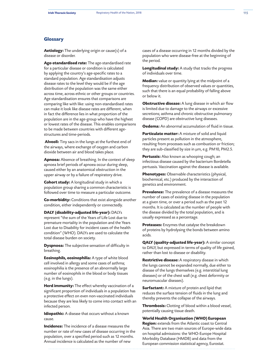## **Glossary**

**Aetiology:** The underlying origin or cause(s) of a disease or disorder.

**Age-standardised rate:** The age-standardised rate for a particular disease or condition is calculated by applying the country's age-specific rates to a standard population. Age standardisation adjusts disease rates to the level they would be if the age distribution of the population was the same either across time, across ethnic or other groups or countries. Age standardisation ensures that comparisons are comparing like with like: using non-standardised rates can make it look like disease rates are different, when in fact the difference lies in what proportion of the population are in the age-group who have the highest or lowest rates of the disease. This enables comparisons to be made between countries with different agestructures and time-periods.

 **Alveoli:** Tiny sacs in the lungs at the furthest end of the airways, where exchange of oxygen and carbon dioxide between air and blood takes place.

**Apnoea:** Absence of breathing. In the context of sleep apnoea brief periods of apnoea occur during sleep, caused either by an anatomical obstruction in the upper airway or by a failure of respiratory drive.

**Cohort study:** A longitudinal study in which a population group sharing a common characteristic is followed over time to measure a particular outcome.

**Co-morbidity:** Conditions that exist alongside another condition, either independently or connectedly.

**DALY (disability-adjusted life-year):** DALYs represent "the sum of the Years of Life Lost due to premature mortality in the population and the Years Lost due to Disability for incident cases of the health condition" (WHO). DALYs are used to calculate the total disease burden on society.

**Dyspnoea:** The subjective sensation of difficulty in breathing.

**Eosinophils, eosinophilia:** A type of white blood cell involved in allergy and some cases of asthma; eosinophilia is the presence of an abnormally large number of eosinophils in the blood or body tissues (e.g. in the lungs).

**Herd immunity:** The effect whereby vaccination of a significant proportion of individuals in a population has a protective effect on even non-vaccinated individuals because they are less likely to come into contact with an infected person.

**Idiopathic:** A disease that occurs without a known cause.

**Incidence:** The incidence of a disease measures the number or rate of new cases of disease occurring in the population, over a specified period such as 12 months. Annual incidence is calculated as the number of new

cases of a disease occurring in 12 months divided by the population who were disease-free at the beginning of the period.

**Longitudinal study:** A study that tracks the progress of individuals over time.

**Median:** value or quantity lying at the midpoint of a frequency distribution of observed values or quantities, such that there is an equal probability of falling above or below it.

**Obstructive disease:** A lung disease in which air flow is limited due to damage to the airways or excessive secretions; asthma and chronic obstructive pulmonary disease (COPD) are obstructive lung diseases.

**Oedema:** An abnormal accumulation of fluid in tissue.

**Particulate matter:** A mixture of solid and liquid particles present as pollution in the atmosphere, resulting from processes such as combustion or friction; they are sub-classified by size in µm, e.g. PM10, PM2.5.

**Pertussis:** Also known as whooping cough; an infectious disease caused by the bacterium Bordetella pertussis. Vaccination against the disease is available.

**Phenotypes:** Observable characteristics (physical, biochemical, etc.) produced by the interaction of genetics and environment.

**Prevalence:** The prevalence of a disease measures the number of cases of existing disease in the population at a given time, or over a period such as the past 12 months. It is calculated as the number of people with the disease divided by the total population, and is usually expressed as a percentage.

**Proteases:** Enzymes that catalyse the breakdown of proteins by hydrolysing the bonds between amino acids.

**QALY (quality-adjusted life-year):** A similar concept to DALY, but expressed in terms of quality of life gained, rather than lost to disease or disability.

**Restrictive disease:** A respiratory disease in which the lungs cannot be expanded normally, due either to disease of the lungs themselves (e.g. interstitial lung diseases) or of the chest wall (e.g. chest deformity or neuromuscular diseases).

**Surfactant:** A mixture of protein and lipid that reduces the surface tension of fluids in the lung and thereby prevents the collapse of the airways.

**Thrombosis:** Clotting of blood within a blood vessel, potentially causing tissue death.

**World Health Organisation (WHO) European Region:** extends from the Atlantic coast to Central Asia. There are two main sources of Europe-wide data on hospital admissions: the WHO-Europe Hospital Morbidity Database (HMDB) and data from the European commission statistical agency, Eurostat.